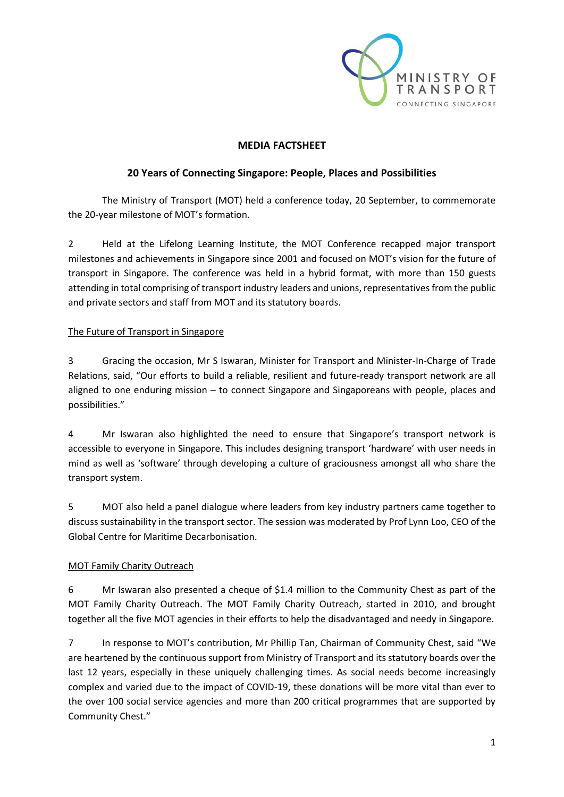

## **MEDIA FACTSHEET**

### **20 Years of Connecting Singapore: People, Places and Possibilities**

The Ministry of Transport (MOT) held a conference today, 20 September, to commemorate the 20-year milestone of MOT's formation.

2 Held at the Lifelong Learning Institute, the MOT Conference recapped major transport milestones and achievements in Singapore since 2001 and focused on MOT's vision for the future of transport in Singapore. The conference was held in a hybrid format, with more than 150 guests attending in total comprising of transport industry leaders and unions, representatives from the public and private sectors and staff from MOT and its statutory boards.

### The Future of Transport in Singapore

3 Gracing the occasion, Mr S Iswaran, Minister for Transport and Minister-In-Charge of Trade Relations, said, "Our efforts to build a reliable, resilient and future-ready transport network are all aligned to one enduring mission – to connect Singapore and Singaporeans with people, places and possibilities."

4 Mr Iswaran also highlighted the need to ensure that Singapore's transport network is accessible to everyone in Singapore. This includes designing transport 'hardware' with user needs in mind as well as 'software' through developing a culture of graciousness amongst all who share the transport system.

5 MOT also held a panel dialogue where leaders from key industry partners came together to discuss sustainability in the transport sector. The session was moderated by Prof Lynn Loo, CEO of the Global Centre for Maritime Decarbonisation.

### MOT Family Charity Outreach

6 Mr Iswaran also presented a cheque of \$1.4 million to the Community Chest as part of the MOT Family Charity Outreach. The MOT Family Charity Outreach, started in 2010, and brought together all the five MOT agencies in their efforts to help the disadvantaged and needy in Singapore.

7 In response to MOT's contribution, Mr Phillip Tan, Chairman of Community Chest, said "We are heartened by the continuous support from Ministry of Transport and its statutory boards over the last 12 years, especially in these uniquely challenging times. As social needs become increasingly complex and varied due to the impact of COVID-19, these donations will be more vital than ever to the over 100 social service agencies and more than 200 critical programmes that are supported by Community Chest."